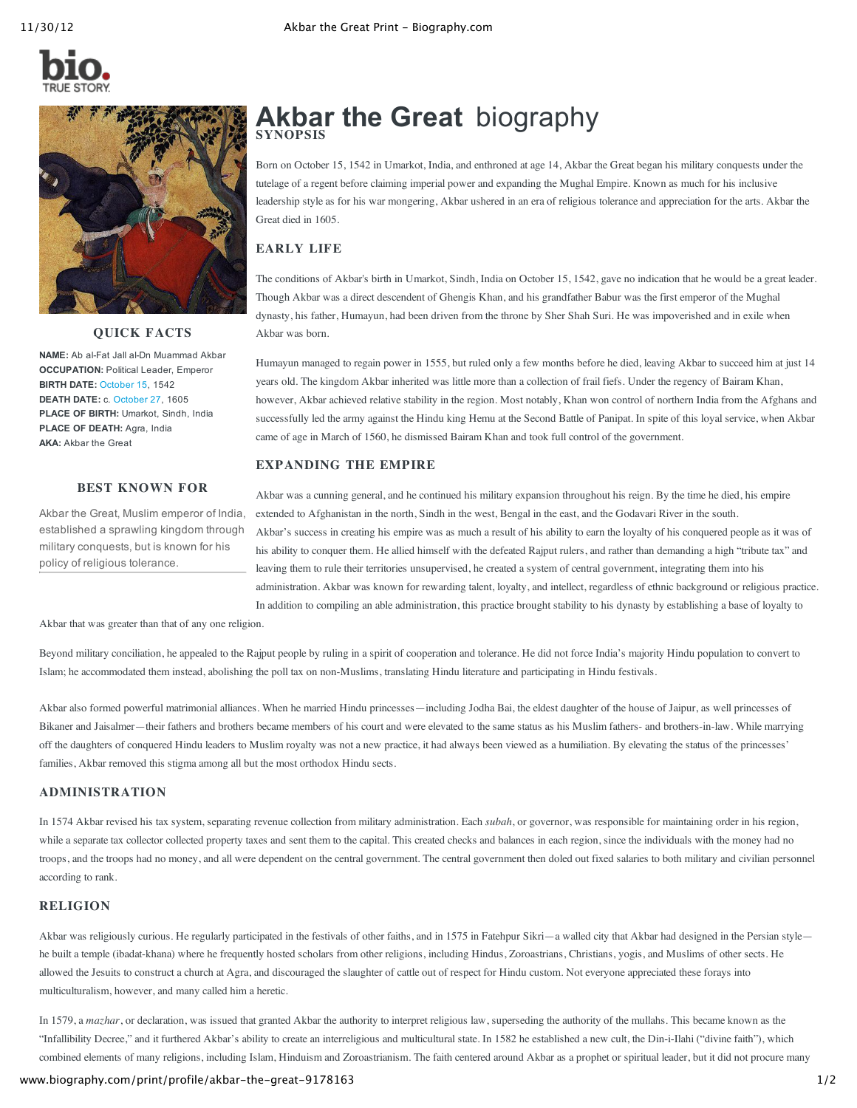

# **QUICK FACTS**

NAME: Ab al-Fat Jall al-Dn Muammad Akbar **OCCUPATION:** Political Leader, Emperor **BIRTH DATE:** [October](http://www.biography.com/people/groups/born-on-october-15/) 15, 1542 **DEATH DATE:** c. [October](http://www.biography.com/people/groups/died-on-october-27/) 27, 1605 **PLACE OF BIRTH:** Umarkot, Sindh, India **PLACE OF DEATH:** Agra, India **AKA:** Akbar the Great

## **BEST KNOWN FOR**

Akbar the Great, Muslim emperor of India, established a sprawling kingdom through military conquests, but is known for his policy of religious tolerance.

# **Akbar the Great** biography **SYNOPSIS**

Born on October 15, 1542 in Umarkot, India, and enthroned at age 14, Akbar the Great began his military conquests under the tutelage of a regent before claiming imperial power and expanding the Mughal Empire. Known as much for his inclusive leadership style as for his war mongering, Akbar ushered in an era of religious tolerance and appreciation for the arts. Akbar the Great died in 1605.

# **EARLY LIFE**

The conditions of Akbar's birth in Umarkot, Sindh, India on October 15, 1542, gave no indication that he would be a great leader. Though Akbar was a direct descendent of Ghengis Khan, and his grandfather Babur was the first emperor of the Mughal dynasty, his father, Humayun, had been driven from the throne by Sher Shah Suri. He was impoverished and in exile when Akbar was born.

Humayun managed to regain power in 1555, but ruled only a few months before he died, leaving Akbar to succeed him at just 14 years old. The kingdom Akbar inherited was little more than a collection of frail fiefs. Under the regency of Bairam Khan, however, Akbar achieved relative stability in the region. Most notably, Khan won control of northern India from the Afghans and successfully led the army against the Hindu king Hemu at the Second Battle of Panipat. In spite of this loyal service, when Akbar came of age in March of 1560, he dismissed Bairam Khan and took full control of the government.

# **EXPANDING THE EMPIRE**

Akbar was a cunning general, and he continued his military expansion throughout his reign. By the time he died, his empire extended to Afghanistan in the north, Sindh in the west, Bengal in the east, and the Godavari River in the south. Akbar's success in creating his empire was as much a result of his ability to earn the loyalty of his conquered people as it was of his ability to conquer them. He allied himself with the defeated Rajput rulers, and rather than demanding a high "tribute tax" and leaving them to rule their territories unsupervised, he created a system of central government, integrating them into his administration. Akbar was known for rewarding talent, loyalty, and intellect, regardless of ethnic background or religious practice. In addition to compiling an able administration, this practice brought stability to his dynasty by establishing a base of loyalty to

Akbar that was greater than that of any one religion.

Beyond military conciliation, he appealed to the Rajput people by ruling in a spirit of cooperation and tolerance. He did not force India's majority Hindu population to convert to Islam; he accommodated them instead, abolishing the poll tax on non-Muslims, translating Hindu literature and participating in Hindu festivals.

Akbar also formed powerful matrimonial alliances. When he married Hindu princesses—including Jodha Bai, the eldest daughter of the house of Jaipur, as well princesses of Bikaner and Jaisalmer—their fathers and brothers became members of his court and were elevated to the same status as his Muslim fathers- and brothers-in-law. While marrying off the daughters of conquered Hindu leaders to Muslim royalty was not a new practice, it had always been viewed as a humiliation. By elevating the status of the princesses' families, Akbar removed this stigma among all but the most orthodox Hindu sects.

# **ADMINISTRATION**

In 1574 Akbar revised his tax system, separating revenue collection from military administration. Each *subah*, or governor, was responsible for maintaining order in his region, while a separate tax collector collected property taxes and sent them to the capital. This created checks and balances in each region, since the individuals with the money had no troops, and the troops had no money, and all were dependent on the central government. The central government then doled out fixed salaries to both military and civilian personnel according to rank.

# **RELIGION**

Akbar was religiously curious. He regularly participated in the festivals of other faiths, and in 1575 in Fatehpur Sikri-a walled city that Akbar had designed in the Persian stylehe built a temple (ibadat-khana) where he frequently hosted scholars from other religions, including Hindus, Zoroastrians, Christians, yogis, and Muslims of other sects. He allowed the Jesuits to construct a church at Agra, and discouraged the slaughter of cattle out of respect for Hindu custom. Not everyone appreciated these forays into multiculturalism, however, and many called him a heretic.

In 1579, a *mazhar*, or declaration, was issued that granted Akbar the authority to interpret religious law, superseding the authority of the mullahs. This became known as the "Infallibility Decree," and it furthered Akbar's ability to create an interreligious and multicultural state. In 1582 he established a new cult, the Din-i-Ilahi ("divine faith"), which combined elements of many religions, including Islam, Hinduism and Zoroastrianism. The faith centered around Akbar as a prophet or spiritual leader, but it did not procure many